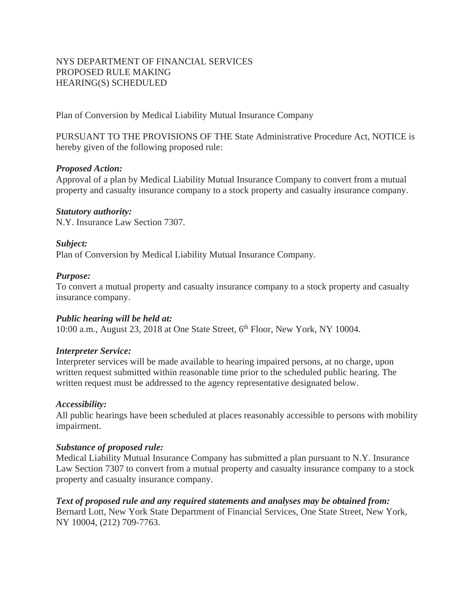# NYS DEPARTMENT OF FINANCIAL SERVICES PROPOSED RULE MAKING HEARING(S) SCHEDULED

Plan of Conversion by Medical Liability Mutual Insurance Company

PURSUANT TO THE PROVISIONS OF THE State Administrative Procedure Act, NOTICE is hereby given of the following proposed rule:

## *Proposed Action:*

Approval of a plan by Medical Liability Mutual Insurance Company to convert from a mutual property and casualty insurance company to a stock property and casualty insurance company.

## *Statutory authority:*

N.Y. Insurance Law Section 7307.

## *Subject:*

Plan of Conversion by Medical Liability Mutual Insurance Company.

## *Purpose:*

To convert a mutual property and casualty insurance company to a stock property and casualty insurance company.

# *Public hearing will be held at:*

10:00 a.m., August 23, 2018 at One State Street,  $6<sup>th</sup>$  Floor, New York, NY 10004.

### *Interpreter Service:*

Interpreter services will be made available to hearing impaired persons, at no charge, upon written request submitted within reasonable time prior to the scheduled public hearing. The written request must be addressed to the agency representative designated below.

# *Accessibility:*

All public hearings have been scheduled at places reasonably accessible to persons with mobility impairment.

### *Substance of proposed rule:*

Medical Liability Mutual Insurance Company has submitted a plan pursuant to N.Y. Insurance Law Section 7307 to convert from a mutual property and casualty insurance company to a stock property and casualty insurance company.

## *Text of proposed rule and any required statements and analyses may be obtained from:*  Bernard Lott, New York State Department of Financial Services, One State Street, New York,

NY 10004, (212) 709-7763.